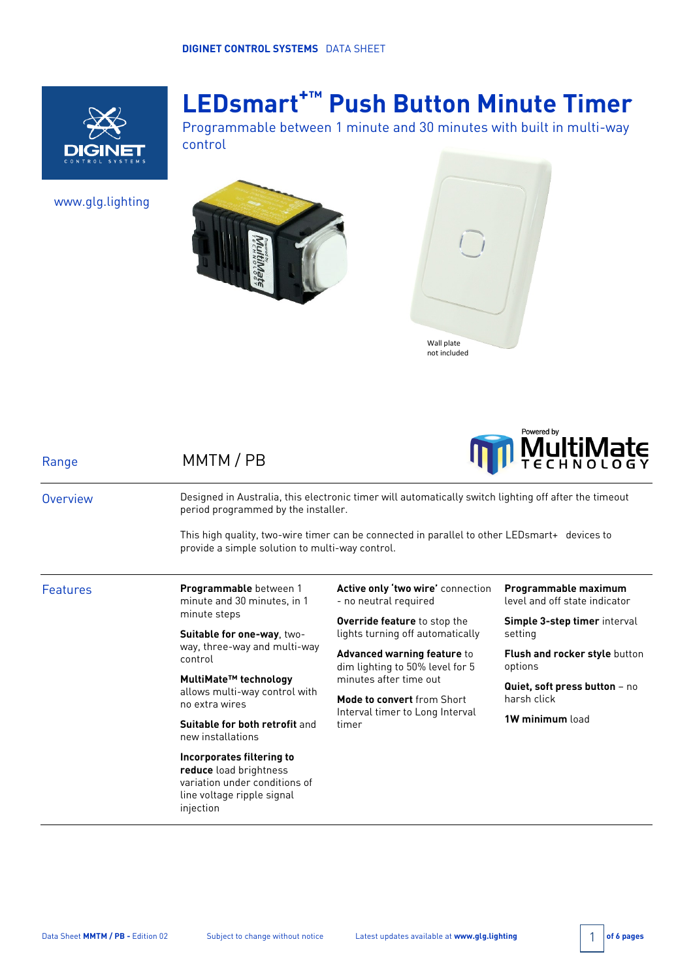

# **LEDsmart+™ Push Button Minute Timer**

Programmable between 1 minute and 30 minutes with built in multi-way control

www.glg.lighting







| Range    | MMTM / PB                                                                                                                                             |                                                                                          | <b>TECHNOLOGY</b>                                     |  |  |
|----------|-------------------------------------------------------------------------------------------------------------------------------------------------------|------------------------------------------------------------------------------------------|-------------------------------------------------------|--|--|
| Overview | Designed in Australia, this electronic timer will automatically switch lighting off after the timeout<br>period programmed by the installer.          |                                                                                          |                                                       |  |  |
|          | This high quality, two-wire timer can be connected in parallel to other LEDsmart+ devices to<br>provide a simple solution to multi-way control.       |                                                                                          |                                                       |  |  |
| Features | <b>Programmable</b> between 1<br>minute and 30 minutes, in 1<br>minute steps<br>Suitable for one-way, two-<br>way, three-way and multi-way<br>control | Active only 'two wire' connection<br>- no neutral required                               | Programmable maximum<br>level and off state indicator |  |  |
|          |                                                                                                                                                       | <b>Override feature</b> to stop the<br>lights turning off automatically                  | <b>Simple 3-step timer</b> interval<br>setting        |  |  |
|          |                                                                                                                                                       | Advanced warning feature to<br>dim lighting to 50% level for 5<br>minutes after time out | <b>Flush and rocker style button</b><br>options       |  |  |
|          | MultiMate™ technology<br>allows multi-way control with<br>no extra wires<br>Suitable for both retrofit and<br>new installations                       |                                                                                          | Quiet, soft press button - no<br>harsh click          |  |  |
|          |                                                                                                                                                       | Mode to convert from Short<br>Interval timer to Long Interval<br>timer                   |                                                       |  |  |
|          |                                                                                                                                                       |                                                                                          | 1W minimum load                                       |  |  |
|          | Incorporates filtering to<br>reduce load brightness<br>variation under conditions of<br>line voltage ripple signal<br>injection                       |                                                                                          |                                                       |  |  |
|          |                                                                                                                                                       |                                                                                          |                                                       |  |  |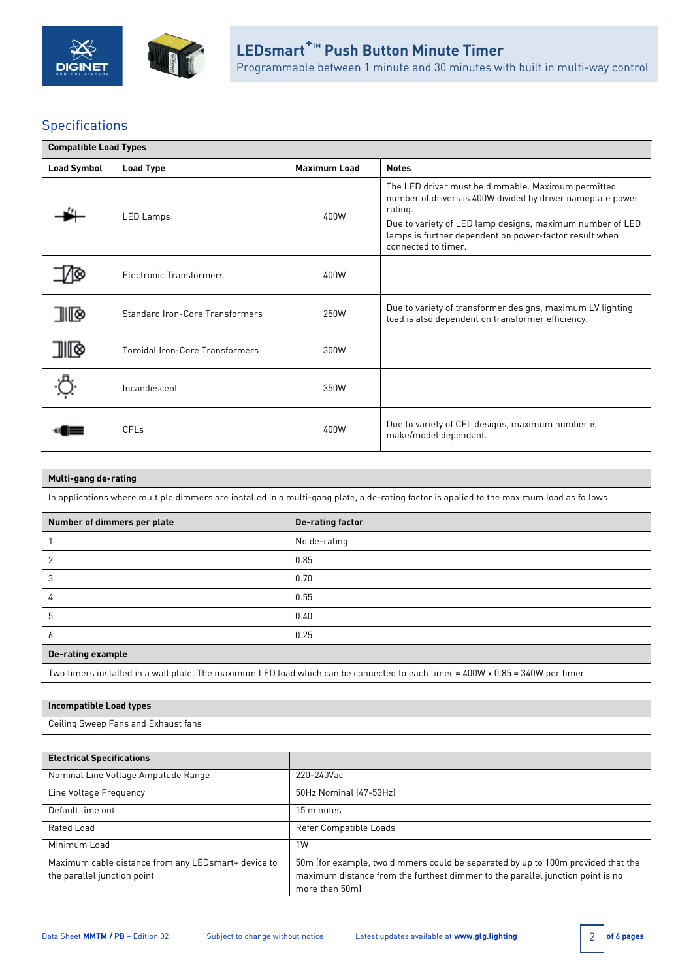



# **Specifications**

| <b>Compatible Load Types</b> |                                        |                     |                                                                                                                                                                                                                                                                            |  |  |
|------------------------------|----------------------------------------|---------------------|----------------------------------------------------------------------------------------------------------------------------------------------------------------------------------------------------------------------------------------------------------------------------|--|--|
| <b>Load Symbol</b>           | <b>Load Type</b>                       | <b>Maximum Load</b> | <b>Notes</b>                                                                                                                                                                                                                                                               |  |  |
|                              | LED Lamps                              | 400W                | The LED driver must be dimmable. Maximum permitted<br>number of drivers is 400W divided by driver nameplate power<br>rating.<br>Due to variety of LED lamp designs, maximum number of LED<br>lamps is further dependent on power-factor result when<br>connected to timer. |  |  |
|                              | <b>Electronic Transformers</b>         | 400W                |                                                                                                                                                                                                                                                                            |  |  |
| 9 TID                        | <b>Standard Iron-Core Transformers</b> | 250W                | Due to variety of transformer designs, maximum LV lighting<br>load is also dependent on transformer efficiency.                                                                                                                                                            |  |  |
| 加◎                           | Toroidal Iron-Core Transformers        | 300W                |                                                                                                                                                                                                                                                                            |  |  |
|                              | Incandescent                           | 350W                |                                                                                                                                                                                                                                                                            |  |  |
|                              | <b>CFLs</b>                            | 400W                | Due to variety of CFL designs, maximum number is<br>make/model dependant.                                                                                                                                                                                                  |  |  |

### **Multi-gang de-rating**

In applications where multiple dimmers are installed in a multi-gang plate, a de-rating factor is applied to the maximum load as follows

| Number of dimmers per plate | <b>De-rating factor</b> |
|-----------------------------|-------------------------|
|                             | No de-rating            |
|                             | 0.85                    |
|                             | 0.70                    |
|                             | 0.55                    |
| ხ                           | 0.40                    |
| o                           | 0.25                    |

### **De-rating example**

Two timers installed in a wall plate. The maximum LED load which can be connected to each timer = 400W x 0.85 = 340W per timer

### **Incompatible Load types**

Ceiling Sweep Fans and Exhaust fans

| <b>Electrical Specifications</b>                                                    |                                                                                                                                                                                      |
|-------------------------------------------------------------------------------------|--------------------------------------------------------------------------------------------------------------------------------------------------------------------------------------|
| Nominal Line Voltage Amplitude Range                                                | 220-240Vac                                                                                                                                                                           |
| Line Voltage Frequency                                                              | 50Hz Nominal (47-53Hz)                                                                                                                                                               |
| Default time out                                                                    | 15 minutes                                                                                                                                                                           |
| Rated Load                                                                          | Refer Compatible Loads                                                                                                                                                               |
| Minimum Load                                                                        | 1W                                                                                                                                                                                   |
| Maximum cable distance from any LED smart+ device to<br>the parallel junction point | 50m (for example, two dimmers could be separated by up to 100m provided that the<br>maximum distance from the furthest dimmer to the parallel junction point is no<br>more than 50ml |

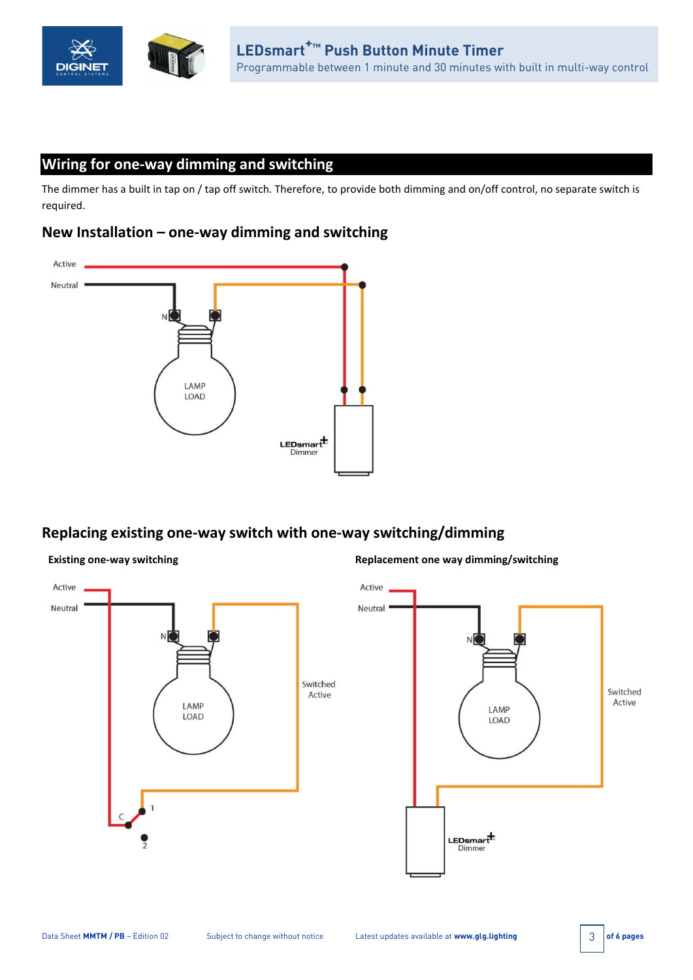

# **Wiring for one-way dimming and switching**

The dimmer has a built in tap on / tap off switch. Therefore, to provide both dimming and on/off control, no separate switch is required.

## **New Installation – one-way dimming and switching**



# **Replacing existing one-way switch with one-way switching/dimming**

### **Existing one-way switching the state of the state of the Replacement one way dimming/switching**

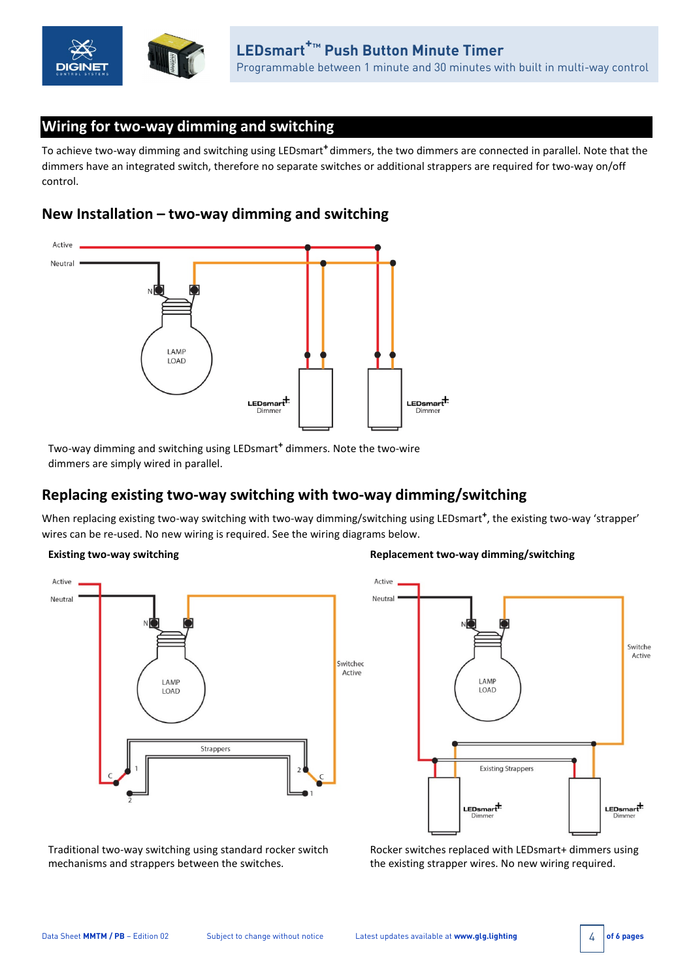

# **Wiring for two-way dimming and switching**

To achieve two-way dimming and switching using LEDsmart**<sup>+</sup>** dimmers, the two dimmers are connected in parallel. Note that the dimmers have an integrated switch, therefore no separate switches or additional strappers are required for two-way on/off control.

## **New Installation – two-way dimming and switching**



Two-way dimming and switching using LEDsmart**<sup>+</sup>** dimmers. Note the two-wire dimmers are simply wired in parallel.

# **Replacing existing two-way switching with two-way dimming/switching**

When replacing existing two-way switching with two-way dimming/switching using LEDsmart**+**, the existing two-way 'strapper' wires can be re-used. No new wiring is required. See the wiring diagrams below.



### **Existing two-way switching the state of the state of the state of the Replacement two-way dimming/switching**



Traditional two-way switching using standard rocker switch mechanisms and strappers between the switches.

Rocker switches replaced with LEDsmart+ dimmers using the existing strapper wires. No new wiring required.

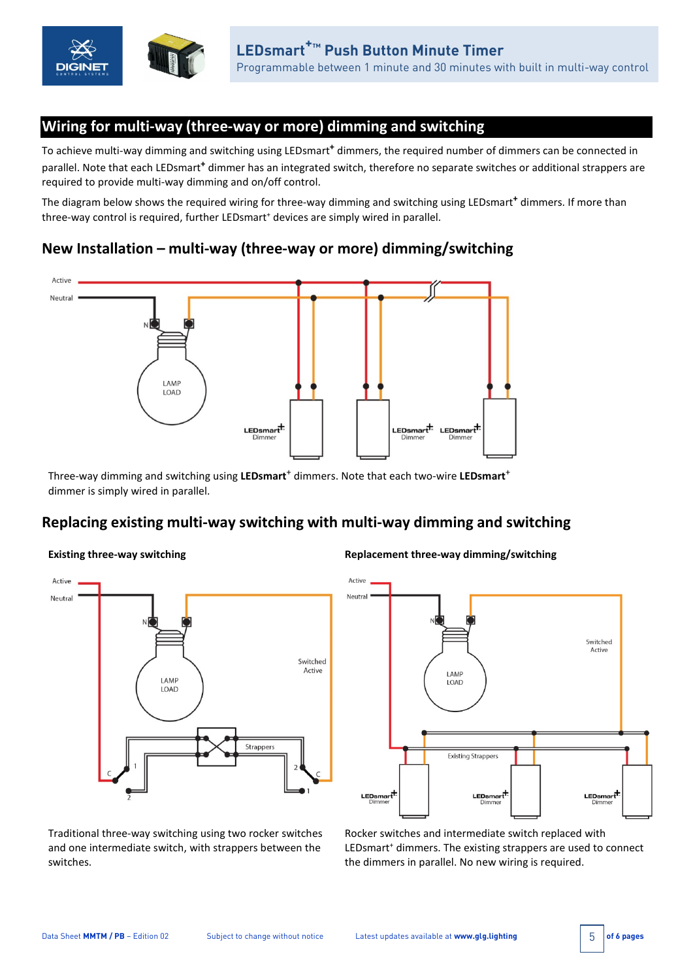

# **Wiring for multi-way (three-way or more) dimming and switching**

To achieve multi-way dimming and switching using LEDsmart**<sup>+</sup>** dimmers, the required number of dimmers can be connected in parallel. Note that each LEDsmart**<sup>+</sup>** dimmer has an integrated switch, therefore no separate switches or additional strappers are required to provide multi-way dimming and on/off control.

The diagram below shows the required wiring for three-way dimming and switching using LEDsmart**<sup>+</sup>** dimmers. If more than three-way control is required, further LEDsmart<sup>+</sup> devices are simply wired in parallel.

# **New Installation – multi-way (three-way or more) dimming/switching**



Three-way dimming and switching using **LEDsmart**<sup>+</sup> dimmers. Note that each two-wire **LEDsmart**<sup>+</sup> dimmer is simply wired in parallel.

# **Replacing existing multi-way switching with multi-way dimming and switching**



**Existing three-way switching Replacement three-way dimming/switching**



Traditional three-way switching using two rocker switches and one intermediate switch, with strappers between the switches.

Rocker switches and intermediate switch replaced with LEDsmart<sup>+</sup> dimmers. The existing strappers are used to connect the dimmers in parallel. No new wiring is required.